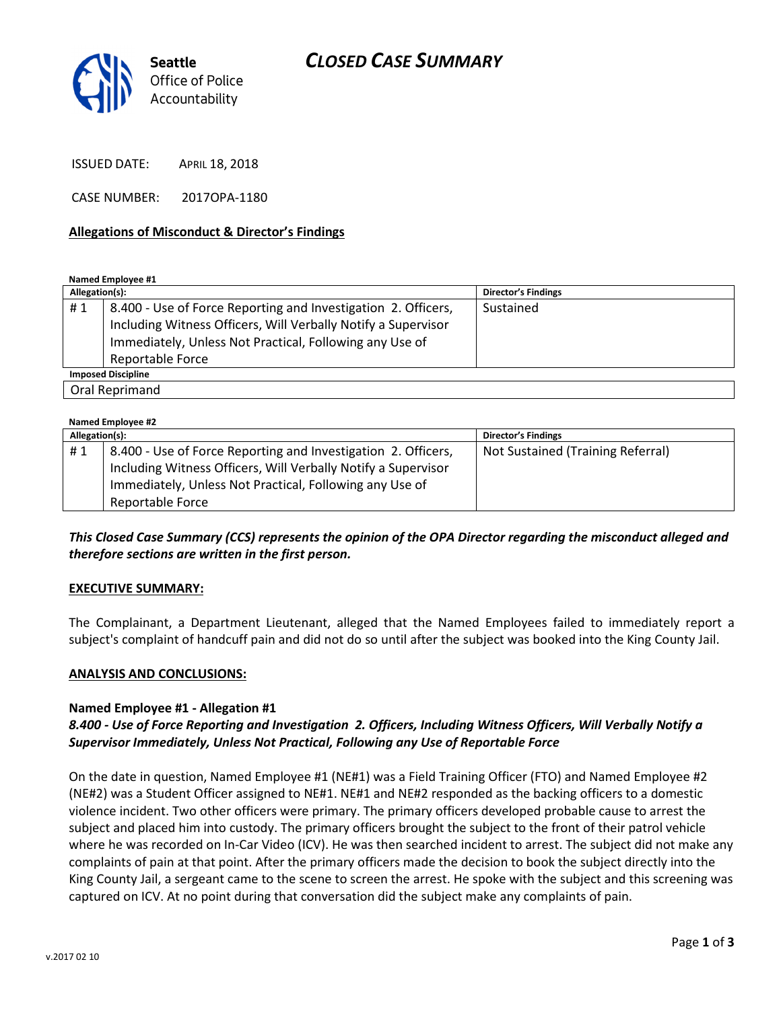

ISSUED DATE: APRIL 18, 2018

CASE NUMBER: 2017OPA-1180

### Allegations of Misconduct & Director's Findings

Named Employee #1

| Allegation(s):            |                                                                                                                                                                                                               | <b>Director's Findings</b> |
|---------------------------|---------------------------------------------------------------------------------------------------------------------------------------------------------------------------------------------------------------|----------------------------|
| #1                        | 8.400 - Use of Force Reporting and Investigation 2. Officers,<br>Including Witness Officers, Will Verbally Notify a Supervisor<br>Immediately, Unless Not Practical, Following any Use of<br>Reportable Force | Sustained                  |
| <b>Imposed Discipline</b> |                                                                                                                                                                                                               |                            |
| Oral Reprimand            |                                                                                                                                                                                                               |                            |

| Named Employee #2 |                                                               |                                   |  |
|-------------------|---------------------------------------------------------------|-----------------------------------|--|
| Allegation(s):    |                                                               | <b>Director's Findings</b>        |  |
| #1                | 8.400 - Use of Force Reporting and Investigation 2. Officers, | Not Sustained (Training Referral) |  |
|                   | Including Witness Officers, Will Verbally Notify a Supervisor |                                   |  |
|                   | Immediately, Unless Not Practical, Following any Use of       |                                   |  |
|                   | Reportable Force                                              |                                   |  |

### This Closed Case Summary (CCS) represents the opinion of the OPA Director regarding the misconduct alleged and therefore sections are written in the first person.

### EXECUTIVE SUMMARY:

The Complainant, a Department Lieutenant, alleged that the Named Employees failed to immediately report a subject's complaint of handcuff pain and did not do so until after the subject was booked into the King County Jail.

#### ANALYSIS AND CONCLUSIONS:

#### Named Employee #1 - Allegation #1

## 8.400 - Use of Force Reporting and Investigation 2. Officers, Including Witness Officers, Will Verbally Notify a Supervisor Immediately, Unless Not Practical, Following any Use of Reportable Force

On the date in question, Named Employee #1 (NE#1) was a Field Training Officer (FTO) and Named Employee #2 (NE#2) was a Student Officer assigned to NE#1. NE#1 and NE#2 responded as the backing officers to a domestic violence incident. Two other officers were primary. The primary officers developed probable cause to arrest the subject and placed him into custody. The primary officers brought the subject to the front of their patrol vehicle where he was recorded on In-Car Video (ICV). He was then searched incident to arrest. The subject did not make any complaints of pain at that point. After the primary officers made the decision to book the subject directly into the King County Jail, a sergeant came to the scene to screen the arrest. He spoke with the subject and this screening was captured on ICV. At no point during that conversation did the subject make any complaints of pain.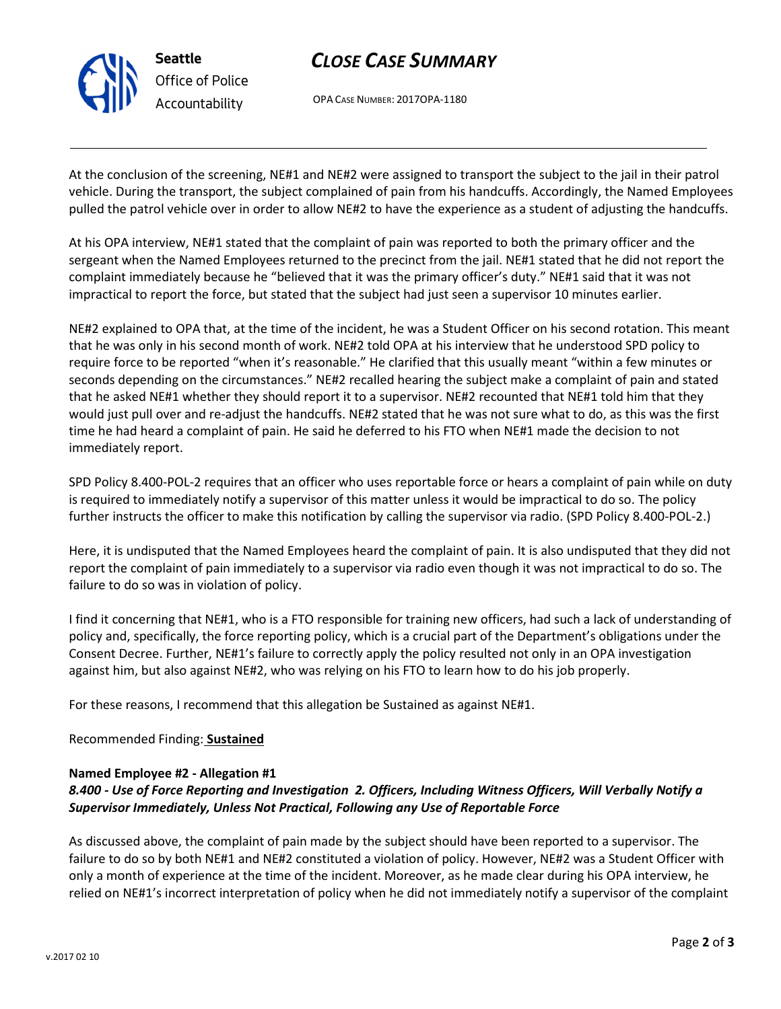

Office of Police Accountability

# CLOSE CASE SUMMARY

OPA CASE NUMBER: 2017OPA-1180

At the conclusion of the screening, NE#1 and NE#2 were assigned to transport the subject to the jail in their patrol vehicle. During the transport, the subject complained of pain from his handcuffs. Accordingly, the Named Employees pulled the patrol vehicle over in order to allow NE#2 to have the experience as a student of adjusting the handcuffs.

At his OPA interview, NE#1 stated that the complaint of pain was reported to both the primary officer and the sergeant when the Named Employees returned to the precinct from the jail. NE#1 stated that he did not report the complaint immediately because he "believed that it was the primary officer's duty." NE#1 said that it was not impractical to report the force, but stated that the subject had just seen a supervisor 10 minutes earlier.

NE#2 explained to OPA that, at the time of the incident, he was a Student Officer on his second rotation. This meant that he was only in his second month of work. NE#2 told OPA at his interview that he understood SPD policy to require force to be reported "when it's reasonable." He clarified that this usually meant "within a few minutes or seconds depending on the circumstances." NE#2 recalled hearing the subject make a complaint of pain and stated that he asked NE#1 whether they should report it to a supervisor. NE#2 recounted that NE#1 told him that they would just pull over and re-adjust the handcuffs. NE#2 stated that he was not sure what to do, as this was the first time he had heard a complaint of pain. He said he deferred to his FTO when NE#1 made the decision to not immediately report.

SPD Policy 8.400-POL-2 requires that an officer who uses reportable force or hears a complaint of pain while on duty is required to immediately notify a supervisor of this matter unless it would be impractical to do so. The policy further instructs the officer to make this notification by calling the supervisor via radio. (SPD Policy 8.400-POL-2.)

Here, it is undisputed that the Named Employees heard the complaint of pain. It is also undisputed that they did not report the complaint of pain immediately to a supervisor via radio even though it was not impractical to do so. The failure to do so was in violation of policy.

I find it concerning that NE#1, who is a FTO responsible for training new officers, had such a lack of understanding of policy and, specifically, the force reporting policy, which is a crucial part of the Department's obligations under the Consent Decree. Further, NE#1's failure to correctly apply the policy resulted not only in an OPA investigation against him, but also against NE#2, who was relying on his FTO to learn how to do his job properly.

For these reasons, I recommend that this allegation be Sustained as against NE#1.

## Recommended Finding: Sustained

### Named Employee #2 - Allegation #1

# 8.400 - Use of Force Reporting and Investigation 2. Officers, Including Witness Officers, Will Verbally Notify a Supervisor Immediately, Unless Not Practical, Following any Use of Reportable Force

As discussed above, the complaint of pain made by the subject should have been reported to a supervisor. The failure to do so by both NE#1 and NE#2 constituted a violation of policy. However, NE#2 was a Student Officer with only a month of experience at the time of the incident. Moreover, as he made clear during his OPA interview, he relied on NE#1's incorrect interpretation of policy when he did not immediately notify a supervisor of the complaint